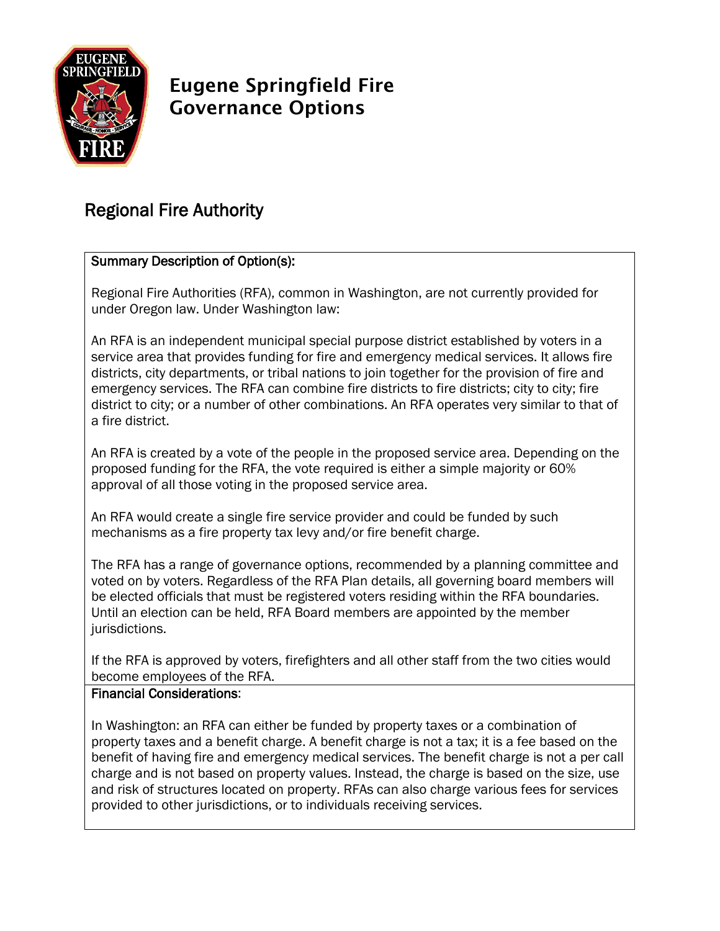

# Eugene Springfield Fire Governance Options

## Regional Fire Authority

### Summary Description of Option(s):

Regional Fire Authorities (RFA), common in Washington, are not currently provided for under Oregon law. Under Washington law:

An RFA is an independent municipal special purpose district established by voters in a service area that provides funding for fire and emergency medical services. It allows fire districts, city departments, or tribal nations to join together for the provision of fire and emergency services. The RFA can combine fire districts to fire districts; city to city; fire district to city; or a number of other combinations. An RFA operates very similar to that of a fire district.

An RFA is created by a vote of the people in the proposed service area. Depending on the proposed funding for the RFA, the vote required is either a simple majority or 60% approval of all those voting in the proposed service area.

An RFA would create a single fire service provider and could be funded by such mechanisms as a fire property tax levy and/or fire benefit charge.

The RFA has a range of governance options, recommended by a planning committee and voted on by voters. Regardless of the RFA Plan details, all governing board members will be elected officials that must be registered voters residing within the RFA boundaries. Until an election can be held, RFA Board members are appointed by the member jurisdictions.

If the RFA is approved by voters, firefighters and all other staff from the two cities would become employees of the RFA.

#### Financial Considerations:

In Washington: an RFA can either be funded by property taxes or a combination of property taxes and a benefit charge. A benefit charge is not a tax; it is a fee based on the benefit of having fire and emergency medical services. The benefit charge is not a per call charge and is not based on property values. Instead, the charge is based on the size, use and risk of structures located on property. RFAs can also charge various fees for services provided to other jurisdictions, or to individuals receiving services.